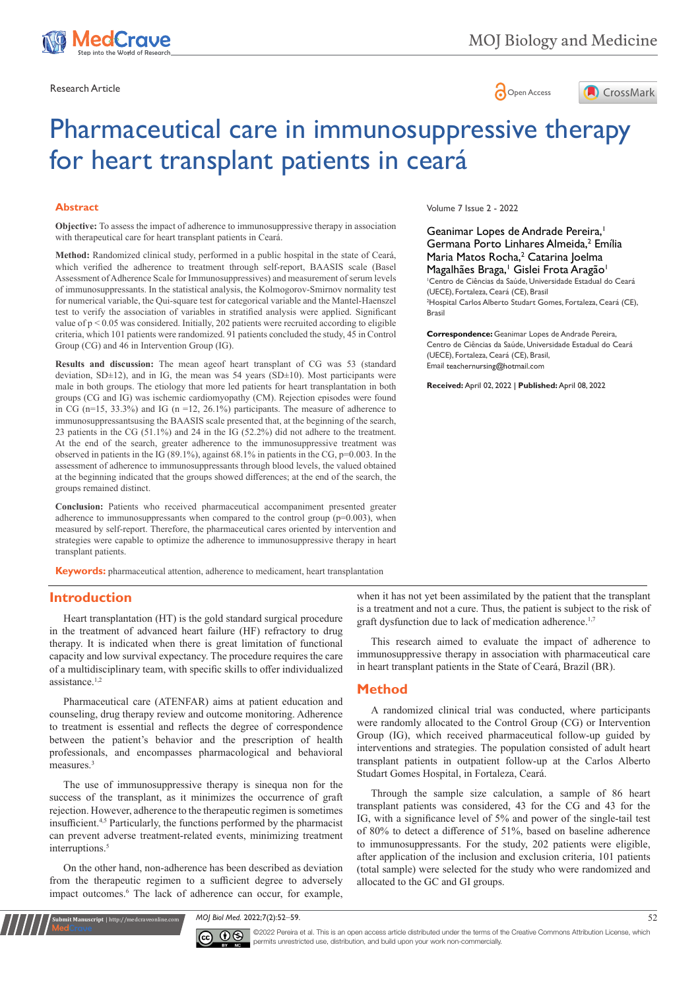



# Pharmaceutical care in immunosuppressive therapy for heart transplant patients in ceará

#### **Abstract**

**Objective:** To assess the impact of adherence to immunosuppressive therapy in association with therapeutical care for heart transplant patients in Ceará.

**Method:** Randomized clinical study, performed in a public hospital in the state of Ceará, which verified the adherence to treatment through self-report, BAASIS scale (Basel Assessment of Adherence Scale for Immunosuppressives) and measurement of serum levels of immunosuppressants. In the statistical analysis, the Kolmogorov-Smirnov normality test for numerical variable, the Qui-square test for categorical variable and the Mantel-Haenszel test to verify the association of variables in stratified analysis were applied. Significant value of  $p < 0.05$  was considered. Initially, 202 patients were recruited according to eligible criteria, which 101 patients were randomized. 91 patients concluded the study, 45 in Control Group (CG) and 46 in Intervention Group (IG).

**Results and discussion:** The mean ageof heart transplant of CG was 53 (standard deviation, SD $\pm$ 12), and in IG, the mean was 54 years (SD $\pm$ 10). Most participants were male in both groups. The etiology that more led patients for heart transplantation in both groups (CG and IG) was ischemic cardiomyopathy (CM). Rejection episodes were found in CG ( $n=15$ , 33.3%) and IG ( $n=12$ , 26.1%) participants. The measure of adherence to immunosuppressantsusing the BAASIS scale presented that, at the beginning of the search, 23 patients in the CG (51.1%) and 24 in the IG (52.2%) did not adhere to the treatment. At the end of the search, greater adherence to the immunosuppressive treatment was observed in patients in the IG (89.1%), against 68.1% in patients in the CG, p=0.003. In the assessment of adherence to immunosuppressants through blood levels, the valued obtained at the beginning indicated that the groups showed differences; at the end of the search, the groups remained distinct.

**Conclusion:** Patients who received pharmaceutical accompaniment presented greater adherence to immunosuppressants when compared to the control group  $(p=0.003)$ , when measured by self-report. Therefore, the pharmaceutical cares oriented by intervention and strategies were capable to optimize the adherence to immunosuppressive therapy in heart transplant patients.

**Keywords:** pharmaceutical attention, adherence to medicament, heart transplantation

#### **Introduction**

Heart transplantation (HT) is the gold standard surgical procedure in the treatment of advanced heart failure (HF) refractory to drug therapy. It is indicated when there is great limitation of functional capacity and low survival expectancy. The procedure requires the care of a multidisciplinary team, with specific skills to offer individualized assistance.1,2

Pharmaceutical care (ATENFAR) aims at patient education and counseling, drug therapy review and outcome monitoring. Adherence to treatment is essential and reflects the degree of correspondence between the patient's behavior and the prescription of health professionals, and encompasses pharmacological and behavioral measures.<sup>3</sup>

The use of immunosuppressive therapy is sinequa non for the success of the transplant, as it minimizes the occurrence of graft rejection. However, adherence to the therapeutic regimen is sometimes insufficient.4,5 Particularly, the functions performed by the pharmacist can prevent adverse treatment-related events, minimizing treatment interruptions.<sup>5</sup>

On the other hand, non-adherence has been described as deviation from the therapeutic regimen to a sufficient degree to adversely impact outcomes.<sup>6</sup> The lack of adherence can occur, for example,

**nuscript** | http://medcrave<u>online.</u>c

Volume 7 Issue 2 - 2022

Geanimar Lopes de Andrade Pereira,<sup>1</sup> Germana Porto Linhares Almeida,<sup>2</sup> Emília Maria Matos Rocha,<sup>2</sup> Catarina Joelma Magalhães Braga,<sup>1</sup> Gislei Frota Aragão<sup>1</sup> 1 Centro de Ciências da Saúde, Universidade Estadual do Ceará (UECE), Fortaleza, Ceará (CE), Brasil 2 Hospital Carlos Alberto Studart Gomes, Fortaleza, Ceará (CE), Brasil

**Correspondence:** Geanimar Lopes de Andrade Pereira, Centro de Ciências da Saúde, Universidade Estadual do Ceará (UECE), Fortaleza, Ceará (CE), Brasil, Email teachernursing@hotmail.com

**Received:** April 02, 2022 | **Published:** April 08, 2022

when it has not yet been assimilated by the patient that the transplant is a treatment and not a cure. Thus, the patient is subject to the risk of graft dysfunction due to lack of medication adherence.<sup>1,7</sup>

This research aimed to evaluate the impact of adherence to immunosuppressive therapy in association with pharmaceutical care in heart transplant patients in the State of Ceará, Brazil (BR).

## **Method**

A randomized clinical trial was conducted, where participants were randomly allocated to the Control Group (CG) or Intervention Group (IG), which received pharmaceutical follow-up guided by interventions and strategies. The population consisted of adult heart transplant patients in outpatient follow-up at the Carlos Alberto Studart Gomes Hospital, in Fortaleza, Ceará.

Through the sample size calculation, a sample of 86 heart transplant patients was considered, 43 for the CG and 43 for the IG, with a significance level of 5% and power of the single-tail test of 80% to detect a difference of 51%, based on baseline adherence to immunosuppressants. For the study, 202 patients were eligible, after application of the inclusion and exclusion criteria, 101 patients (total sample) were selected for the study who were randomized and allocated to the GC and GI groups.

*MOJ Biol Med.* 2022;7(2):52‒59. 52



©2022 Pereira et al. This is an open access article distributed under the terms of the [Creative Commons Attribution License,](https://creativecommons.org/licenses/by-nc/4.0/) which permits unrestricted use, distribution, and build upon your work non-commercially.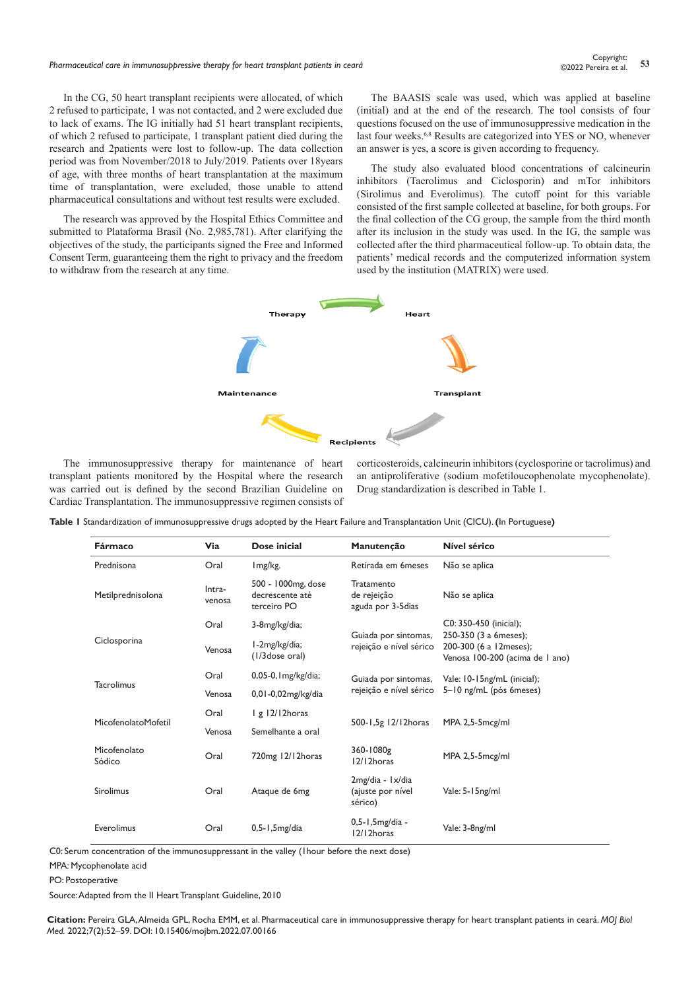In the CG, 50 heart transplant recipients were allocated, of which 2 refused to participate, 1 was not contacted, and 2 were excluded due to lack of exams. The IG initially had 51 heart transplant recipients, of which 2 refused to participate, 1 transplant patient died during the research and 2patients were lost to follow-up. The data collection period was from November/2018 to July/2019. Patients over 18years of age, with three months of heart transplantation at the maximum time of transplantation, were excluded, those unable to attend pharmaceutical consultations and without test results were excluded.

The research was approved by the Hospital Ethics Committee and submitted to Plataforma Brasil (No. 2,985,781). After clarifying the objectives of the study, the participants signed the Free and Informed Consent Term, guaranteeing them the right to privacy and the freedom to withdraw from the research at any time.

The BAASIS scale was used, which was applied at baseline (initial) and at the end of the research. The tool consists of four questions focused on the use of immunosuppressive medication in the last four weeks.<sup>6,8</sup> Results are categorized into YES or NO, whenever an answer is yes, a score is given according to frequency.

The study also evaluated blood concentrations of calcineurin inhibitors (Tacrolimus and Ciclosporin) and mTor inhibitors (Sirolimus and Everolimus). The cutoff point for this variable consisted of the first sample collected at baseline, for both groups. For the final collection of the CG group, the sample from the third month after its inclusion in the study was used. In the IG, the sample was collected after the third pharmaceutical follow-up. To obtain data, the patients' medical records and the computerized information system used by the institution (MATRIX) were used.



The immunosuppressive therapy for maintenance of heart transplant patients monitored by the Hospital where the research was carried out is defined by the second Brazilian Guideline on Cardiac Transplantation. The immunosuppressive regimen consists of

corticosteroids, calcineurin inhibitors (cyclosporine or tacrolimus) and an antiproliferative (sodium mofetiloucophenolate mycophenolate). Drug standardization is described in Table 1.

|  |  | Table I Standardization of immunosuppressive drugs adopted by the Heart Failure and Transplantation Unit (CICU). (In Portuguese) |  |  |  |  |  |  |  |
|--|--|----------------------------------------------------------------------------------------------------------------------------------|--|--|--|--|--|--|--|
|--|--|----------------------------------------------------------------------------------------------------------------------------------|--|--|--|--|--|--|--|

| Fármaco                | Via                           | Dose inicial                                         | Manutenção                                       | Nível sérico                                                                       |  |  |
|------------------------|-------------------------------|------------------------------------------------------|--------------------------------------------------|------------------------------------------------------------------------------------|--|--|
| Prednisona             | Oral                          | Img/kg.                                              | Retirada em 6 meses                              | Não se aplica                                                                      |  |  |
| Metilprednisolona      | Intra-<br>venosa              | 500 - 1000mg, dose<br>decrescente até<br>terceiro PO | Tratamento<br>de rejeição<br>aguda por 3-5 dias  | Não se aplica                                                                      |  |  |
| Oral                   |                               | 3-8mg/kg/dia;                                        |                                                  | C0: 350-450 (inicial);                                                             |  |  |
| Ciclosporina           | Venosa                        | I-2mg/kg/dia;<br>(1/3 dose oral)                     | Guiada por sintomas,<br>rejeição e nível sérico  | 250-350 (3 a 6meses);<br>200-300 (6 a 12meses);<br>Venosa 100-200 (acima de 1 ano) |  |  |
|                        | Oral<br>$0,05-0,1$ mg/kg/dia; | Guiada por sintomas,                                 | Vale: 10-15ng/mL (inicial);                      |                                                                                    |  |  |
| <b>Tacrolimus</b>      | Venosa                        | 0,01-0,02mg/kg/dia                                   | rejeição e nível sérico                          | 5-10 ng/mL (pós 6meses)                                                            |  |  |
| MicofenolatoMofetil    | Oral                          | $\lg$ 12/12 horas                                    |                                                  |                                                                                    |  |  |
|                        | Venosa                        | Semelhante a oral                                    | 500-1,5g 12/12 horas                             | MPA 2,5-5mcg/ml                                                                    |  |  |
| Micofenolato<br>Sódico | Oral                          | 720mg 12/12horas                                     | 360-1080g<br>12/12horas                          | MPA 2,5-5mcg/ml                                                                    |  |  |
| Sirolimus              | Oral                          | Ataque de 6mg                                        | 2mg/dia - 1x/dia<br>(ajuste por nível<br>sérico) | Vale: 5-15ng/ml                                                                    |  |  |
| Everolimus             | Oral                          | $0,5-1,5mg/dia$                                      | 0,5-1,5mg/dia -<br>12/12horas                    | Vale: 3-8ng/ml                                                                     |  |  |

C0: Serum concentration of the immunosuppressant in the valley (1hour before the next dose)

MPA: Mycophenolate acid

PO: Postoperative

Source: Adapted from the II Heart Transplant Guideline, 2010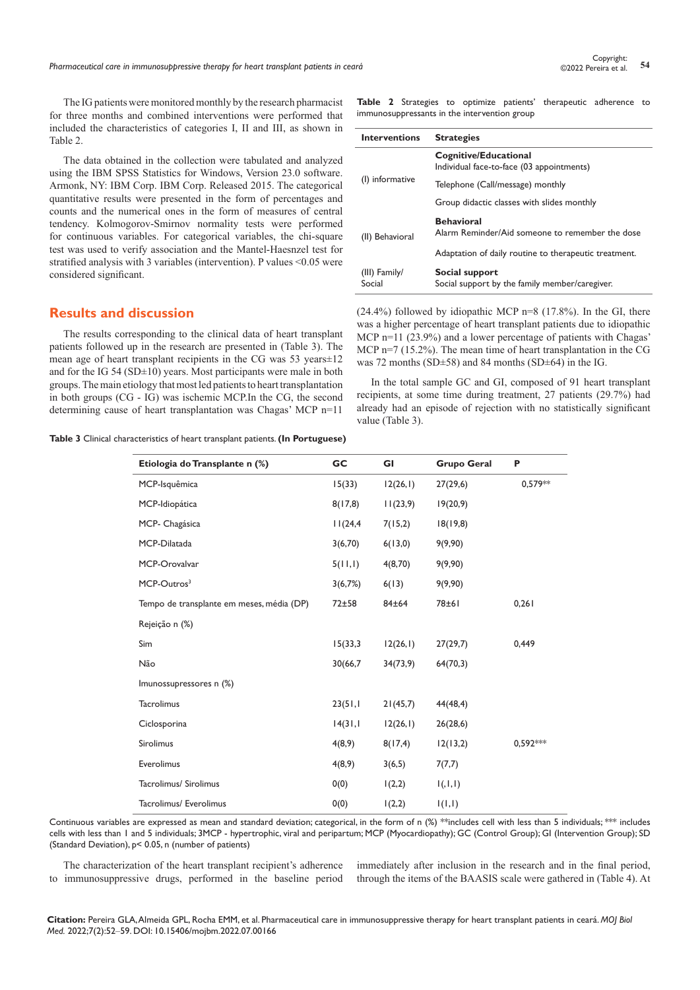The IG patients were monitored monthly by the research pharmacist for three months and combined interventions were performed that included the characteristics of categories I, II and III, as shown in Table 2.

The data obtained in the collection were tabulated and analyzed using the IBM SPSS Statistics for Windows, Version 23.0 software. Armonk, NY: IBM Corp. IBM Corp. Released 2015. The categorical quantitative results were presented in the form of percentages and counts and the numerical ones in the form of measures of central tendency. Kolmogorov-Smirnov normality tests were performed for continuous variables. For categorical variables, the chi-square test was used to verify association and the Mantel-Haesnzel test for stratified analysis with 3 variables (intervention). P values <0.05 were considered significant.

## **Results and discussion**

The results corresponding to the clinical data of heart transplant patients followed up in the research are presented in (Table 3). The mean age of heart transplant recipients in the CG was 53 years±12 and for the IG 54 (SD $\pm$ 10) years. Most participants were male in both groups. The main etiology that most led patients to heart transplantation in both groups (CG - IG) was ischemic MCP.In the CG, the second determining cause of heart transplantation was Chagas' MCP n=11

| Table 3 Clinical characteristics of heart transplant patients. (In Portuguese) |  |  |  |  |  |  |
|--------------------------------------------------------------------------------|--|--|--|--|--|--|
|--------------------------------------------------------------------------------|--|--|--|--|--|--|

**Table 2** Strategies to optimize patients' therapeutic adherence to immunosuppressants in the intervention group

| <b>Interventions</b>    | <b>Strategies</b>                                                    |  |  |  |
|-------------------------|----------------------------------------------------------------------|--|--|--|
|                         | Cognitive/Educational<br>Individual face-to-face (03 appointments)   |  |  |  |
| (I) informative         | Telephone (Call/message) monthly                                     |  |  |  |
|                         | Group didactic classes with slides monthly                           |  |  |  |
| (II) Behavioral         | <b>Behavioral</b><br>Alarm Reminder/Aid someone to remember the dose |  |  |  |
|                         | Adaptation of daily routine to therapeutic treatment.                |  |  |  |
| (III) Family/<br>Social | Social support<br>Social support by the family member/caregiver.     |  |  |  |

 $(24.4\%)$  followed by idiopathic MCP n=8  $(17.8\%)$ . In the GI, there was a higher percentage of heart transplant patients due to idiopathic MCP n=11 (23.9%) and a lower percentage of patients with Chagas' MCP n=7 (15.2%). The mean time of heart transplantation in the CG was 72 months (SD±58) and 84 months (SD±64) in the IG.

In the total sample GC and GI, composed of 91 heart transplant recipients, at some time during treatment, 27 patients (29.7%) had already had an episode of rejection with no statistically significant value (Table 3).

| Etiologia do Transplante n (%)            | <b>GC</b> | GI       | <b>Grupo Geral</b> | P          |
|-------------------------------------------|-----------|----------|--------------------|------------|
| MCP-Isquêmica                             | 15(33)    | 12(26,1) | 27(29,6)           | $0.579**$  |
| MCP-Idiopática                            | 8(17,8)   | 11(23,9) | 19(20,9)           |            |
| MCP- Chagásica                            | 11(24,4)  | 7(15,2)  | 18(19,8)           |            |
| MCP-Dilatada                              | 3(6,70)   | 6(13,0)  | 9(9,90)            |            |
| MCP-Orovalvar                             | 5(11,1)   | 4(8,70)  | 9(9,90)            |            |
| MCP-Outros <sup>3</sup>                   | 3(6,7%)   | 6(13)    | 9(9,90)            |            |
| Tempo de transplante em meses, média (DP) | $72 + 58$ | 84±64    | 78±61              | 0,261      |
| Rejeição n (%)                            |           |          |                    |            |
| Sim                                       | 15(33,3)  | 12(26,1) | 27(29,7)           | 0,449      |
| Não                                       | 30(66,7)  | 34(73,9) | 64(70,3)           |            |
| Imunossupressores n (%)                   |           |          |                    |            |
| <b>Tacrolimus</b>                         | 23(51,1)  | 21(45,7) | 44(48, 4)          |            |
| Ciclosporina                              | 14(31,1)  | 12(26,1) | 26(28,6)           |            |
| Sirolimus                                 | 4(8,9)    | 8(17,4)  | 12(13,2)           | $0.592***$ |
| Everolimus                                | 4(8,9)    | 3(6,5)   | 7(7,7)             |            |
| Tacrolimus/ Sirolimus                     | 0(0)      | 1(2,2)   | 1(,1,1)            |            |
| Tacrolimus/ Everolimus                    | 0(0)      | 1(2,2)   | I(I,I)             |            |

Continuous variables are expressed as mean and standard deviation; categorical, in the form of n  $\frac{8}{5}$  and  $\frac{1}{2}$  and  $\frac{1}{2}$  and  $\frac{1}{2}$  and  $\frac{1}{2}$  and  $\frac{1}{2}$  and  $\frac{1}{2}$  and  $\frac{1}{2}$  and  $\frac{1}{2}$  an cells with less than 1 and 5 individuals; 3MCP - hypertrophic, viral and peripartum; MCP (Myocardiopathy); GC (Control Group); GI (Intervention Group); SD (Standard Deviation), p< 0.05, n (number of patients)

The characterization of the heart transplant recipient's adherence to immunosuppressive drugs, performed in the baseline period immediately after inclusion in the research and in the final period, through the items of the BAASIS scale were gathered in (Table 4). At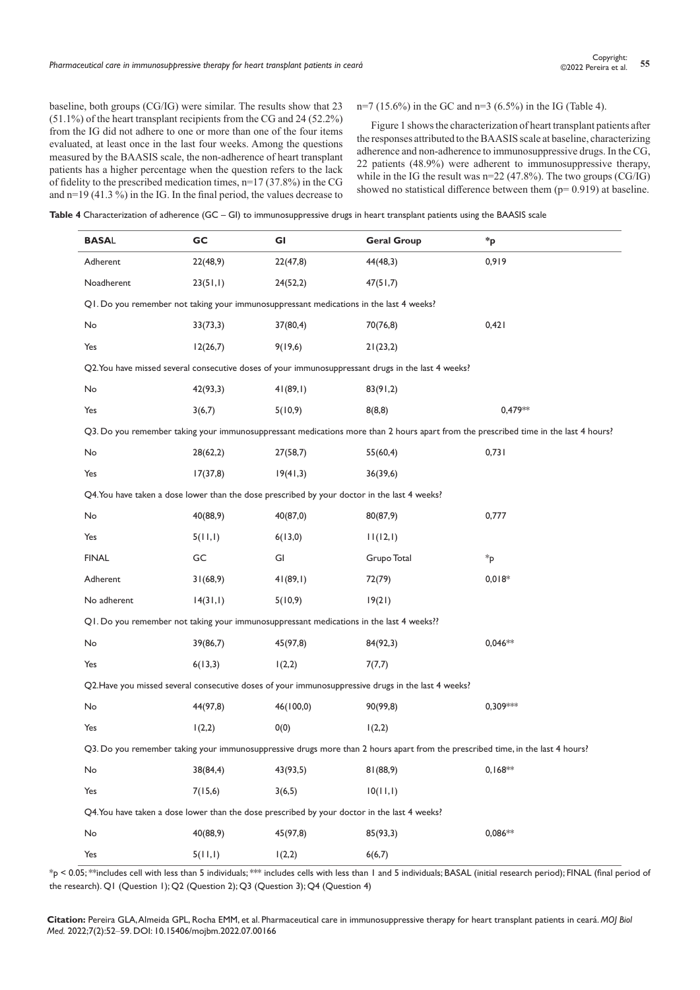baseline, both groups (CG/IG) were similar. The results show that 23 (51.1%) of the heart transplant recipients from the CG and 24 (52.2%) from the IG did not adhere to one or more than one of the four items evaluated, at least once in the last four weeks. Among the questions measured by the BAASIS scale, the non-adherence of heart transplant patients has a higher percentage when the question refers to the lack of fidelity to the prescribed medication times, n=17 (37.8%) in the CG and  $n=19$  (41.3%) in the IG. In the final period, the values decrease to

n=7 (15.6%) in the GC and n=3 (6.5%) in the IG (Table 4).

Figure 1 shows the characterization of heart transplant patients after the responses attributed to the BAASIS scale at baseline, characterizing adherence and non-adherence to immunosuppressive drugs. In the CG, 22 patients (48.9%) were adherent to immunosuppressive therapy, while in the IG the result was  $n=22(47.8\%)$ . The two groups (CG/IG) showed no statistical difference between them  $(p= 0.919)$  at baseline.

**Table 4** Characterization of adherence (GC – GI) to immunosuppressive drugs in heart transplant patients using the BAASIS scale

| <b>BASAL</b>                                                                                                                   | GC       | GI        | <b>Geral Group</b>                                                                                 | *p                                                                                                                                  |  |  |  |  |
|--------------------------------------------------------------------------------------------------------------------------------|----------|-----------|----------------------------------------------------------------------------------------------------|-------------------------------------------------------------------------------------------------------------------------------------|--|--|--|--|
| Adherent                                                                                                                       | 22(48,9) | 22(47,8)  | 44(48,3)                                                                                           | 0,919                                                                                                                               |  |  |  |  |
| Noadherent                                                                                                                     | 23(51,1) | 24(52,2)  | 47(51,7)                                                                                           |                                                                                                                                     |  |  |  |  |
| Q1. Do you remember not taking your immunosuppressant medications in the last 4 weeks?                                         |          |           |                                                                                                    |                                                                                                                                     |  |  |  |  |
| No                                                                                                                             | 33(73,3) | 37(80,4)  | 70(76,8)                                                                                           | 0,421                                                                                                                               |  |  |  |  |
| Yes                                                                                                                            | 12(26,7) | 9(19,6)   | 21(23,2)                                                                                           |                                                                                                                                     |  |  |  |  |
|                                                                                                                                |          |           | Q2. You have missed several consecutive doses of your immunosuppressant drugs in the last 4 weeks? |                                                                                                                                     |  |  |  |  |
| No                                                                                                                             | 42(93,3) | 41(89,1)  | 83(91,2)                                                                                           |                                                                                                                                     |  |  |  |  |
| Yes                                                                                                                            | 3(6,7)   | 5(10,9)   | 8(8,8)                                                                                             | 0,479**                                                                                                                             |  |  |  |  |
|                                                                                                                                |          |           |                                                                                                    | Q3. Do you remember taking your immunosuppressant medications more than 2 hours apart from the prescribed time in the last 4 hours? |  |  |  |  |
| No                                                                                                                             | 28(62,2) | 27(58,7)  | 55(60,4)                                                                                           | 0,731                                                                                                                               |  |  |  |  |
| Yes                                                                                                                            | 17(37,8) | 19(41,3)  | 36(39,6)                                                                                           |                                                                                                                                     |  |  |  |  |
| Q4. You have taken a dose lower than the dose prescribed by your doctor in the last 4 weeks?                                   |          |           |                                                                                                    |                                                                                                                                     |  |  |  |  |
| No                                                                                                                             | 40(88,9) | 40(87,0)  | 80(87,9)                                                                                           | 0,777                                                                                                                               |  |  |  |  |
| Yes                                                                                                                            | 5(11,1)  | 6(13,0)   | 11(12,1)                                                                                           |                                                                                                                                     |  |  |  |  |
| <b>FINAL</b>                                                                                                                   | GC       | GI        | Grupo Total                                                                                        | $*_{p}$                                                                                                                             |  |  |  |  |
| Adherent                                                                                                                       | 31(68,9) | 41(89,1)  | 72(79)                                                                                             | $0,018*$                                                                                                                            |  |  |  |  |
| No adherent                                                                                                                    | 14(31,1) | 5(10,9)   | 19(21)                                                                                             |                                                                                                                                     |  |  |  |  |
| Q1. Do you remember not taking your immunosuppressant medications in the last 4 weeks??                                        |          |           |                                                                                                    |                                                                                                                                     |  |  |  |  |
| No                                                                                                                             | 39(86,7) | 45(97,8)  | 84(92,3)                                                                                           | $0,046**$                                                                                                                           |  |  |  |  |
| Yes                                                                                                                            | 6(13,3)  | 1(2,2)    | 7(7,7)                                                                                             |                                                                                                                                     |  |  |  |  |
|                                                                                                                                |          |           | Q2. Have you missed several consecutive doses of your immunosuppressive drugs in the last 4 weeks? |                                                                                                                                     |  |  |  |  |
| No                                                                                                                             | 44(97,8) | 46(100,0) | 90(99,8)                                                                                           | $0,309***$                                                                                                                          |  |  |  |  |
| Yes                                                                                                                            | 1(2,2)   | 0(0)      | 1(2,2)                                                                                             |                                                                                                                                     |  |  |  |  |
| Q3. Do you remember taking your immunosuppressive drugs more than 2 hours apart from the prescribed time, in the last 4 hours? |          |           |                                                                                                    |                                                                                                                                     |  |  |  |  |
| No                                                                                                                             | 38(84,4) | 43(93,5)  | 81(88,9)                                                                                           | $0,168**$                                                                                                                           |  |  |  |  |
| Yes                                                                                                                            | 7(15,6)  | 3(6,5)    | 10(11,1)                                                                                           |                                                                                                                                     |  |  |  |  |
| Q4. You have taken a dose lower than the dose prescribed by your doctor in the last 4 weeks?                                   |          |           |                                                                                                    |                                                                                                                                     |  |  |  |  |
| No                                                                                                                             | 40(88,9) | 45(97,8)  | 85(93,3)                                                                                           | $0.086**$                                                                                                                           |  |  |  |  |
| Yes                                                                                                                            | 5(11,1)  | 1(2,2)    | 6(6,7)                                                                                             |                                                                                                                                     |  |  |  |  |

 $*_p$  < 0.05; \*\*includes cell with less than 5 individuals; \*\*\* includes cells with less than 1 and 5 individuals; BASAL (initial research period); FINAL (final period of the research). Q1 (Question 1); Q2 (Question 2); Q3 (Question 3); Q4 (Question 4)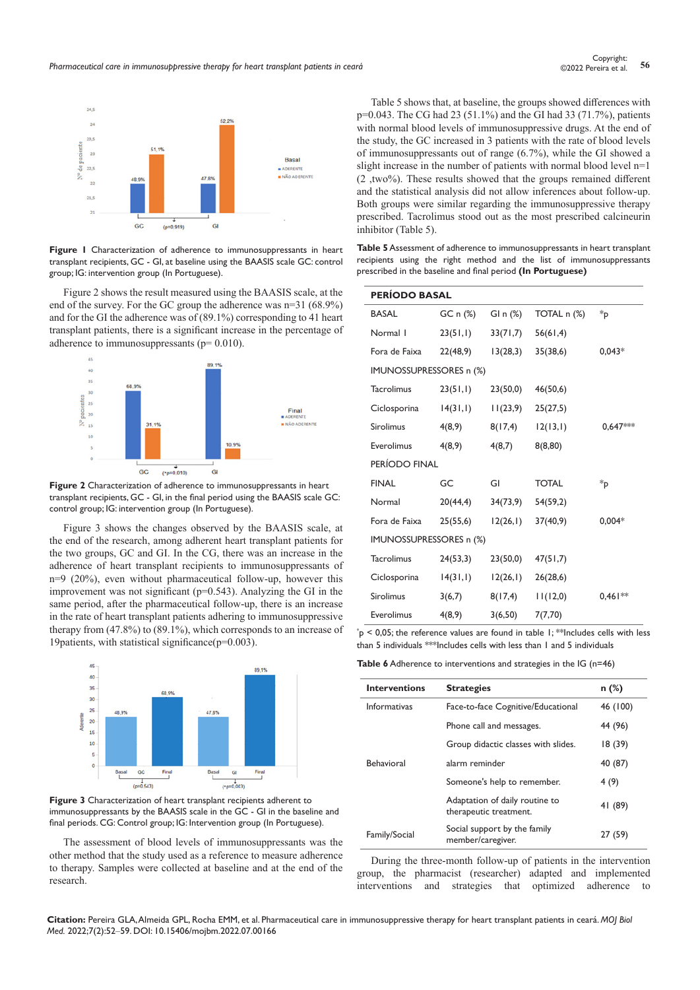

**Figure 1** Characterization of adherence to immunosuppressants in heart transplant recipients, GC - GI, at baseline using the BAASIS scale GC: control group; IG: intervention group (In Portuguese).

Figure 2 shows the result measured using the BAASIS scale, at the end of the survey. For the GC group the adherence was n=31 (68.9%) and for the GI the adherence was of (89.1%) corresponding to 41 heart transplant patients, there is a significant increase in the percentage of adherence to immunosuppressants ( $p= 0.010$ ).



**Figure 2** Characterization of adherence to immunosuppressants in heart transplant recipients, GC - GI, in the final period using the BAASIS scale GC: control group; IG: intervention group (In Portuguese).

Figure 3 shows the changes observed by the BAASIS scale, at the end of the research, among adherent heart transplant patients for the two groups, GC and GI. In the CG, there was an increase in the adherence of heart transplant recipients to immunosuppressants of n=9 (20%), even without pharmaceutical follow-up, however this improvement was not significant (p=0.543). Analyzing the GI in the same period, after the pharmaceutical follow-up, there is an increase in the rate of heart transplant patients adhering to immunosuppressive therapy from (47.8%) to (89.1%), which corresponds to an increase of 19 patients, with statistical significance  $(p=0.003)$ .



**Figure 3** Characterization of heart transplant recipients adherent to immunosuppressants by the BAASIS scale in the GC - GI in the baseline and final periods. CG: Control group; IG: Intervention group (In Portuguese).

The assessment of blood levels of immunosuppressants was the other method that the study used as a reference to measure adherence to therapy. Samples were collected at baseline and at the end of the research.

Table 5 shows that, at baseline, the groups showed differences with p=0.043. The CG had 23 (51.1%) and the GI had 33 (71.7%), patients with normal blood levels of immunosuppressive drugs. At the end of the study, the GC increased in 3 patients with the rate of blood levels of immunosuppressants out of range (6.7%), while the GI showed a slight increase in the number of patients with normal blood level n=1 (2 ,two%). These results showed that the groups remained different and the statistical analysis did not allow inferences about follow-up. Both groups were similar regarding the immunosuppressive therapy prescribed. Tacrolimus stood out as the most prescribed calcineurin inhibitor (Table 5).

**Table 5** Assessment of adherence to immunosuppressants in heart transplant recipients using the right method and the list of immunosuppressants prescribed in the baseline and final period **(In Portuguese)**

| <b>PERÍODO BASAL</b>    |          |             |              |           |  |  |
|-------------------------|----------|-------------|--------------|-----------|--|--|
| <b>BASAL</b>            | GC n (%) | GI n $(\%)$ | TOTAL n (%)  | *p        |  |  |
| Normal I                | 23(51,1) | 33(71,7)    | 56(61,4)     |           |  |  |
| Fora de Faixa           | 22(48,9) | 13(28,3)    | 35(38,6)     | $0,043*$  |  |  |
| IMUNOSSUPRESSORES n (%) |          |             |              |           |  |  |
| <b>Tacrolimus</b>       | 23(51,1) | 23(50,0)    | 46(50,6)     |           |  |  |
| Ciclosporina            | 14(31,1) | 11(23,9)    | 25(27,5)     |           |  |  |
| <b>Sirolimus</b>        | 4(8,9)   | 8(17, 4)    | 12(13,1)     | 0,647***  |  |  |
| Everolimus              | 4(8,9)   | 4(8,7)      | 8(8,80)      |           |  |  |
| PERÍODO FINAL           |          |             |              |           |  |  |
| <b>FINAL</b>            | GC       | GI          | <b>TOTAL</b> | *p        |  |  |
| Normal                  | 20(44,4) | 34(73,9)    | 54(59,2)     |           |  |  |
| Fora de Faixa           | 25(55,6) | 12(26,1)    | 37(40,9)     | $0,004*$  |  |  |
| IMUNOSSUPRESSORES n (%) |          |             |              |           |  |  |
| <b>Tacrolimus</b>       | 24(53,3) | 23(50,0)    | 47(51,7)     |           |  |  |
| Ciclosporina            | 14(31,1) | 12(26,1)    | 26(28,6)     |           |  |  |
| <b>Sirolimus</b>        | 3(6,7)   | 8(17, 4)    | 11(12,0)     | $0,461**$ |  |  |
| Everolimus              | 4(8,9)   | 3(6,50)     | 7(7,70)      |           |  |  |

 $p^*$   $>$  0,05; the reference values are found in table 1; \*\* Includes cells with less than 5 individuals \*\*\*Includes cells with less than 1 and 5 individuals

**Table 6** Adherence to interventions and strategies in the IG (n=46)

| <b>Interventions</b> | <b>Strategies</b>                                        | $n$ (%)  |
|----------------------|----------------------------------------------------------|----------|
| <b>Informativas</b>  | Face-to-face Cognitive/Educational                       | 46 (100) |
|                      | Phone call and messages.                                 | 44 (96)  |
|                      | Group didactic classes with slides.                      | 18(39)   |
| <b>Behavioral</b>    | alarm reminder                                           | 40 (87)  |
|                      | Someone's help to remember.                              | 4 (9)    |
|                      | Adaptation of daily routine to<br>therapeutic treatment. | 41 (89)  |
| Family/Social        | Social support by the family<br>member/caregiver.        | 27 (59)  |

During the three-month follow-up of patients in the intervention group, the pharmacist (researcher) adapted and implemented interventions and strategies that optimized adherence to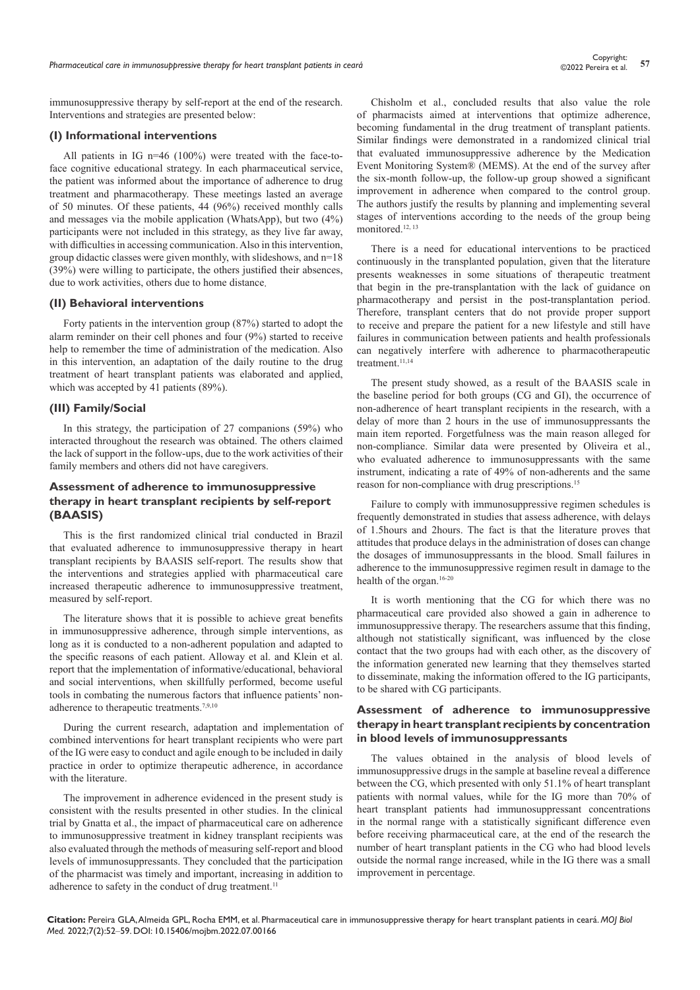immunosuppressive therapy by self-report at the end of the research. Interventions and strategies are presented below:

## **(I) Informational interventions**

All patients in IG n=46 (100%) were treated with the face-toface cognitive educational strategy. In each pharmaceutical service, the patient was informed about the importance of adherence to drug treatment and pharmacotherapy. These meetings lasted an average of 50 minutes. Of these patients, 44 (96%) received monthly calls and messages via the mobile application (WhatsApp), but two (4%) participants were not included in this strategy, as they live far away, with difficulties in accessing communication. Also in this intervention, group didactic classes were given monthly, with slideshows, and n=18 (39%) were willing to participate, the others justified their absences, due to work activities, others due to home distance.

## **(II) Behavioral interventions**

Forty patients in the intervention group (87%) started to adopt the alarm reminder on their cell phones and four (9%) started to receive help to remember the time of administration of the medication. Also in this intervention, an adaptation of the daily routine to the drug treatment of heart transplant patients was elaborated and applied, which was accepted by 41 patients (89%).

#### **(III) Family/Social**

In this strategy, the participation of 27 companions (59%) who interacted throughout the research was obtained. The others claimed the lack of support in the follow-ups, due to the work activities of their family members and others did not have caregivers.

## **Assessment of adherence to immunosuppressive therapy in heart transplant recipients by self-report (BAASIS)**

This is the first randomized clinical trial conducted in Brazil that evaluated adherence to immunosuppressive therapy in heart transplant recipients by BAASIS self-report. The results show that the interventions and strategies applied with pharmaceutical care increased therapeutic adherence to immunosuppressive treatment, measured by self-report.

The literature shows that it is possible to achieve great benefits in immunosuppressive adherence, through simple interventions, as long as it is conducted to a non-adherent population and adapted to the specific reasons of each patient. Alloway et al. and Klein et al. report that the implementation of informative/educational, behavioral and social interventions, when skillfully performed, become useful tools in combating the numerous factors that influence patients' nonadherence to therapeutic treatments.<sup>7,9,10</sup>

During the current research, adaptation and implementation of combined interventions for heart transplant recipients who were part of the IG were easy to conduct and agile enough to be included in daily practice in order to optimize therapeutic adherence, in accordance with the literature.

The improvement in adherence evidenced in the present study is consistent with the results presented in other studies. In the clinical trial by Gnatta et al., the impact of pharmaceutical care on adherence to immunosuppressive treatment in kidney transplant recipients was also evaluated through the methods of measuring self-report and blood levels of immunosuppressants. They concluded that the participation of the pharmacist was timely and important, increasing in addition to adherence to safety in the conduct of drug treatment.<sup>11</sup>

Chisholm et al., concluded results that also value the role of pharmacists aimed at interventions that optimize adherence, becoming fundamental in the drug treatment of transplant patients. Similar findings were demonstrated in a randomized clinical trial that evaluated immunosuppressive adherence by the Medication Event Monitoring System® (MEMS). At the end of the survey after the six-month follow-up, the follow-up group showed a significant improvement in adherence when compared to the control group. The authors justify the results by planning and implementing several stages of interventions according to the needs of the group being monitored.12, 13

There is a need for educational interventions to be practiced continuously in the transplanted population, given that the literature presents weaknesses in some situations of therapeutic treatment that begin in the pre-transplantation with the lack of guidance on pharmacotherapy and persist in the post-transplantation period. Therefore, transplant centers that do not provide proper support to receive and prepare the patient for a new lifestyle and still have failures in communication between patients and health professionals can negatively interfere with adherence to pharmacotherapeutic treatment.<sup>11,14</sup>

The present study showed, as a result of the BAASIS scale in the baseline period for both groups (CG and GI), the occurrence of non-adherence of heart transplant recipients in the research, with a delay of more than 2 hours in the use of immunosuppressants the main item reported. Forgetfulness was the main reason alleged for non-compliance. Similar data were presented by Oliveira et al., who evaluated adherence to immunosuppressants with the same instrument, indicating a rate of 49% of non-adherents and the same reason for non-compliance with drug prescriptions.<sup>15</sup>

Failure to comply with immunosuppressive regimen schedules is frequently demonstrated in studies that assess adherence, with delays of 1.5hours and 2hours. The fact is that the literature proves that attitudes that produce delays in the administration of doses can change the dosages of immunosuppressants in the blood. Small failures in adherence to the immunosuppressive regimen result in damage to the health of the organ.<sup>16-20</sup>

It is worth mentioning that the CG for which there was no pharmaceutical care provided also showed a gain in adherence to immunosuppressive therapy. The researchers assume that this finding, although not statistically significant, was influenced by the close contact that the two groups had with each other, as the discovery of the information generated new learning that they themselves started to disseminate, making the information offered to the IG participants, to be shared with CG participants.

# **Assessment of adherence to immunosuppressive therapy in heart transplant recipients by concentration in blood levels of immunosuppressants**

The values obtained in the analysis of blood levels of immunosuppressive drugs in the sample at baseline reveal a difference between the CG, which presented with only 51.1% of heart transplant patients with normal values, while for the IG more than 70% of heart transplant patients had immunosuppressant concentrations in the normal range with a statistically significant difference even before receiving pharmaceutical care, at the end of the research the number of heart transplant patients in the CG who had blood levels outside the normal range increased, while in the IG there was a small improvement in percentage.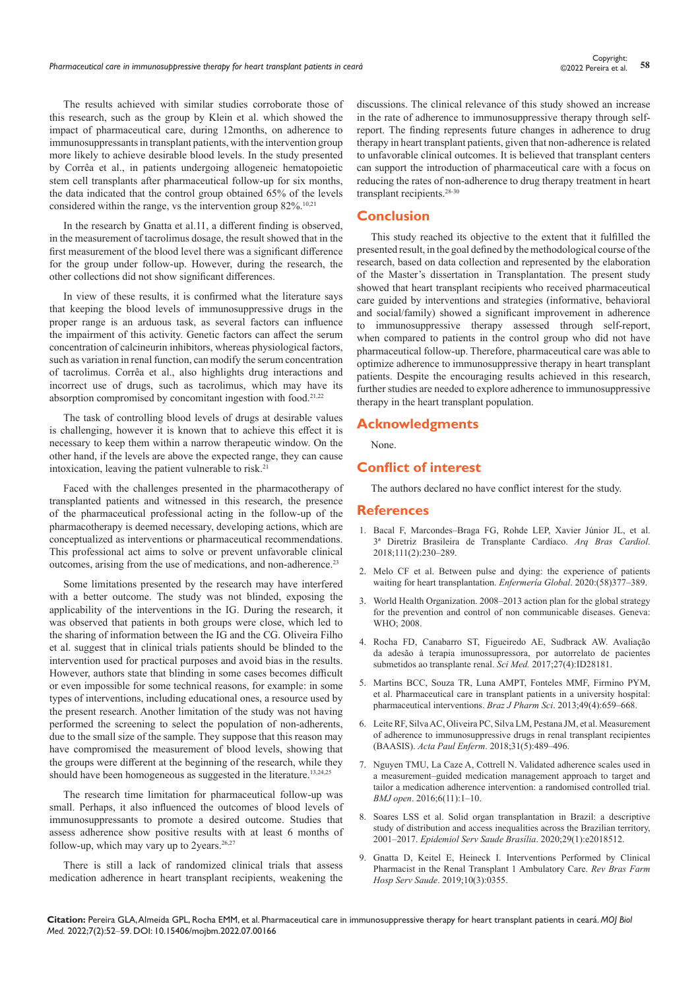The results achieved with similar studies corroborate those of this research, such as the group by Klein et al. which showed the impact of pharmaceutical care, during 12months, on adherence to immunosuppressants in transplant patients, with the intervention group more likely to achieve desirable blood levels. In the study presented by Corrêa et al., in patients undergoing allogeneic hematopoietic stem cell transplants after pharmaceutical follow-up for six months, the data indicated that the control group obtained 65% of the levels considered within the range, vs the intervention group 82%.10,21

In the research by Gnatta et al.11, a different finding is observed, in the measurement of tacrolimus dosage, the result showed that in the first measurement of the blood level there was a significant difference for the group under follow-up. However, during the research, the other collections did not show significant differences.

In view of these results, it is confirmed what the literature says that keeping the blood levels of immunosuppressive drugs in the proper range is an arduous task, as several factors can influence the impairment of this activity. Genetic factors can affect the serum concentration of calcineurin inhibitors, whereas physiological factors, such as variation in renal function, can modify the serum concentration of tacrolimus. Corrêa et al., also highlights drug interactions and incorrect use of drugs, such as tacrolimus, which may have its absorption compromised by concomitant ingestion with food.<sup>21,22</sup>

The task of controlling blood levels of drugs at desirable values is challenging, however it is known that to achieve this effect it is necessary to keep them within a narrow therapeutic window. On the other hand, if the levels are above the expected range, they can cause intoxication, leaving the patient vulnerable to risk.<sup>21</sup>

Faced with the challenges presented in the pharmacotherapy of transplanted patients and witnessed in this research, the presence of the pharmaceutical professional acting in the follow-up of the pharmacotherapy is deemed necessary, developing actions, which are conceptualized as interventions or pharmaceutical recommendations. This professional act aims to solve or prevent unfavorable clinical outcomes, arising from the use of medications, and non-adherence.23

Some limitations presented by the research may have interfered with a better outcome. The study was not blinded, exposing the applicability of the interventions in the IG. During the research, it was observed that patients in both groups were close, which led to the sharing of information between the IG and the CG. Oliveira Filho et al. suggest that in clinical trials patients should be blinded to the intervention used for practical purposes and avoid bias in the results. However, authors state that blinding in some cases becomes difficult or even impossible for some technical reasons, for example: in some types of interventions, including educational ones, a resource used by the present research. Another limitation of the study was not having performed the screening to select the population of non-adherents, due to the small size of the sample. They suppose that this reason may have compromised the measurement of blood levels, showing that the groups were different at the beginning of the research, while they should have been homogeneous as suggested in the literature.<sup>13,24,25</sup>

The research time limitation for pharmaceutical follow-up was small. Perhaps, it also influenced the outcomes of blood levels of immunosuppressants to promote a desired outcome. Studies that assess adherence show positive results with at least 6 months of follow-up, which may vary up to 2years. $26,27$ 

There is still a lack of randomized clinical trials that assess medication adherence in heart transplant recipients, weakening the discussions. The clinical relevance of this study showed an increase in the rate of adherence to immunosuppressive therapy through selfreport. The finding represents future changes in adherence to drug therapy in heart transplant patients, given that non-adherence is related to unfavorable clinical outcomes. It is believed that transplant centers can support the introduction of pharmaceutical care with a focus on reducing the rates of non-adherence to drug therapy treatment in heart transplant recipients.<sup>28-30</sup>

# **Conclusion**

This study reached its objective to the extent that it fulfilled the presented result, in the goal defined by the methodological course of the research, based on data collection and represented by the elaboration of the Master's dissertation in Transplantation. The present study showed that heart transplant recipients who received pharmaceutical care guided by interventions and strategies (informative, behavioral and social/family) showed a significant improvement in adherence to immunosuppressive therapy assessed through self-report, when compared to patients in the control group who did not have pharmaceutical follow-up. Therefore, pharmaceutical care was able to optimize adherence to immunosuppressive therapy in heart transplant patients. Despite the encouraging results achieved in this research, further studies are needed to explore adherence to immunosuppressive therapy in the heart transplant population.

## **Acknowledgments**

None.

## **Conflict of interest**

The authors declared no have conflict interest for the study.

## **References**

- 1. [Bacal F, Marcondes‒Braga FG, Rohde LEP, Xavier Júnior JL, et al.](https://www.scielo.br/j/abc/a/MqFZwqWW8jy9bQWKJsHSHNn/?format=pdf&lang=pt)  [3ª Diretriz Brasileira de Transplante Cardíaco.](https://www.scielo.br/j/abc/a/MqFZwqWW8jy9bQWKJsHSHNn/?format=pdf&lang=pt) *Arq Bras Cardiol*. [2018;111\(2\):230‒289.](https://www.scielo.br/j/abc/a/MqFZwqWW8jy9bQWKJsHSHNn/?format=pdf&lang=pt)
- 2. Melo CF et al[. Between pulse and dying: the experience of patients](https://scielo.isciii.es/pdf/eg/v19n58/en_1695-6141-eg-19-58-351.pdf)  [waiting for heart transplantation.](https://scielo.isciii.es/pdf/eg/v19n58/en_1695-6141-eg-19-58-351.pdf) *Enfermería Global*. 2020:(58)377-389.
- 3. World Health Organization. 2008-2013 action plan for the global strategy [for the prevention and control of non communicable diseases. Geneva:](https://www.who.int/nmh/publications/ncd_action_plan_en.pdf)  [WHO; 2008.](https://www.who.int/nmh/publications/ncd_action_plan_en.pdf)
- 4. [Rocha FD, Canabarro ST, Figueiredo AE, Sudbrack AW.](https://pesquisa.bvsalud.org/portal/resource/pt/biblio-876948) Avaliação [da adesão à terapia imunossupressora, por autorrelato de pacientes](https://pesquisa.bvsalud.org/portal/resource/pt/biblio-876948)  [submetidos ao transplante renal.](https://pesquisa.bvsalud.org/portal/resource/pt/biblio-876948) *Sci Med.* 2017;27(4):ID28181.
- 5. [Martins BCC, Souza TR, Luna AMPT, Fonteles MMF, Firmino PYM,](https://www.scielo.br/j/bjps/a/QLdsRSnZtmMFhwt5ZmXCmYt/?lang=en)  et al. [Pharmaceutical care in transplant patients in a university hospital:](https://www.scielo.br/j/bjps/a/QLdsRSnZtmMFhwt5ZmXCmYt/?lang=en)  [pharmaceutical interventions.](https://www.scielo.br/j/bjps/a/QLdsRSnZtmMFhwt5ZmXCmYt/?lang=en) *Braz J Pharm Sci*. 2013;49(4):659-668.
- 6. [Leite RF, Silva AC, Oliveira PC, Silva LM, Pestana JM, et al. Measurement](https://acta-ape.org/en/article/measurement-of-adherence-to-immunosuppressive-drugs-in-renal-transplant-recipients/)  [of adherence to immunosuppressive drugs in renal transplant recipientes](https://acta-ape.org/en/article/measurement-of-adherence-to-immunosuppressive-drugs-in-renal-transplant-recipients/)  (BAASIS). *Acta Paul Enferm*[. 2018;31\(5\):489‒496](https://acta-ape.org/en/article/measurement-of-adherence-to-immunosuppressive-drugs-in-renal-transplant-recipients/).
- 7. [Nguyen TMU, La Caze A, Cottrell N. Validated adherence scales used in](https://bmjopen.bmj.com/content/6/11/e013375)  a measurement-guided medication management approach to target and [tailor a medication adherence intervention: a randomised controlled trial.](https://bmjopen.bmj.com/content/6/11/e013375)  *BMJ open*[. 2016;6\(11\):1‒10.](https://bmjopen.bmj.com/content/6/11/e013375)
- 8. [Soares LSS et al. Solid organ transplantation in Brazil: a descriptive](https://pubmed.ncbi.nlm.nih.gov/32267298/)  [study of distribution and access inequalities across the Brazilian territory,](https://pubmed.ncbi.nlm.nih.gov/32267298/)  2001‒2017. *[Epidemiol Serv Saude Brasília](https://pubmed.ncbi.nlm.nih.gov/32267298/)*. 2020;29(1):e2018512.
- 9. [Gnatta D, Keitel E, Heineck I. Interventions Performed by Clinical](https://www.rbfhss.org.br/sbrafh/article/view/355)  [Pharmacist in the Renal Transplant 1 Ambulatory Care.](https://www.rbfhss.org.br/sbrafh/article/view/355) *Rev Bras Farm Hosp Serv Saude*[. 2019;10\(3\):0355](https://www.rbfhss.org.br/sbrafh/article/view/355).